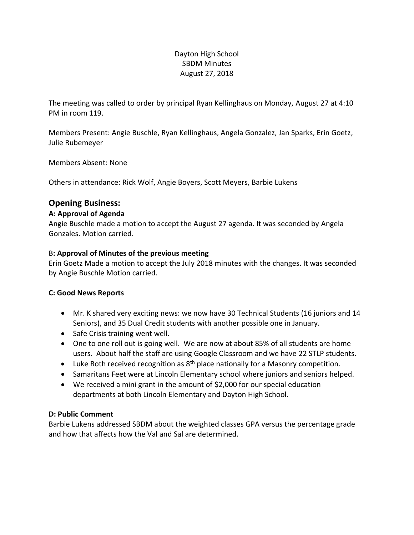## Dayton High School SBDM Minutes August 27, 2018

The meeting was called to order by principal Ryan Kellinghaus on Monday, August 27 at 4:10 PM in room 119.

Members Present: Angie Buschle, Ryan Kellinghaus, Angela Gonzalez, Jan Sparks, Erin Goetz, Julie Rubemeyer

Members Absent: None

Others in attendance: Rick Wolf, Angie Boyers, Scott Meyers, Barbie Lukens

## **Opening Business:**

### **A: Approval of Agenda**

Angie Buschle made a motion to accept the August 27 agenda. It was seconded by Angela Gonzales. Motion carried.

### B**: Approval of Minutes of the previous meeting**

Erin Goetz Made a motion to accept the July 2018 minutes with the changes. It was seconded by Angie Buschle Motion carried.

#### **C: Good News Reports**

- Mr. K shared very exciting news: we now have 30 Technical Students (16 juniors and 14 Seniors), and 35 Dual Credit students with another possible one in January.
- Safe Crisis training went well.
- One to one roll out is going well. We are now at about 85% of all students are home users. About half the staff are using Google Classroom and we have 22 STLP students.
- Luke Roth received recognition as  $8<sup>th</sup>$  place nationally for a Masonry competition.
- Samaritans Feet were at Lincoln Elementary school where juniors and seniors helped.
- We received a mini grant in the amount of \$2,000 for our special education departments at both Lincoln Elementary and Dayton High School.

### **D: Public Comment**

Barbie Lukens addressed SBDM about the weighted classes GPA versus the percentage grade and how that affects how the Val and Sal are determined.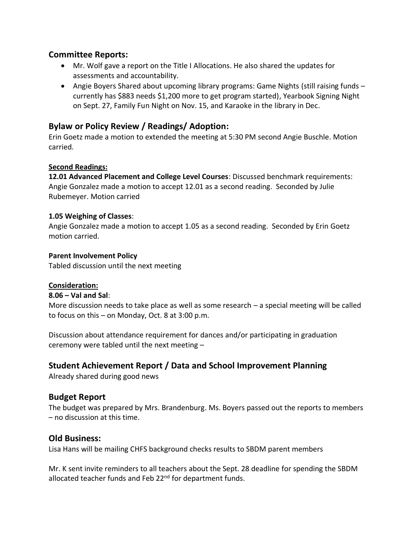## **Committee Reports:**

- Mr. Wolf gave a report on the Title I Allocations. He also shared the updates for assessments and accountability.
- Angie Boyers Shared about upcoming library programs: Game Nights (still raising funds currently has \$883 needs \$1,200 more to get program started), Yearbook Signing Night on Sept. 27, Family Fun Night on Nov. 15, and Karaoke in the library in Dec.

# **Bylaw or Policy Review / Readings/ Adoption:**

Erin Goetz made a motion to extended the meeting at 5:30 PM second Angie Buschle. Motion carried.

### **Second Readings:**

**12.01 Advanced Placement and College Level Courses**: Discussed benchmark requirements: Angie Gonzalez made a motion to accept 12.01 as a second reading. Seconded by Julie Rubemeyer. Motion carried

### **1.05 Weighing of Classes**:

Angie Gonzalez made a motion to accept 1.05 as a second reading. Seconded by Erin Goetz motion carried.

#### **Parent Involvement Policy**

Tabled discussion until the next meeting

#### **Consideration:**

#### **8.06 – Val and Sal**:

More discussion needs to take place as well as some research – a special meeting will be called to focus on this – on Monday, Oct. 8 at 3:00 p.m.

Discussion about attendance requirement for dances and/or participating in graduation ceremony were tabled until the next meeting –

# **Student Achievement Report / Data and School Improvement Planning**

Already shared during good news

# **Budget Report**

The budget was prepared by Mrs. Brandenburg. Ms. Boyers passed out the reports to members – no discussion at this time.

### **Old Business:**

Lisa Hans will be mailing CHFS background checks results to SBDM parent members

Mr. K sent invite reminders to all teachers about the Sept. 28 deadline for spending the SBDM allocated teacher funds and Feb 22<sup>nd</sup> for department funds.